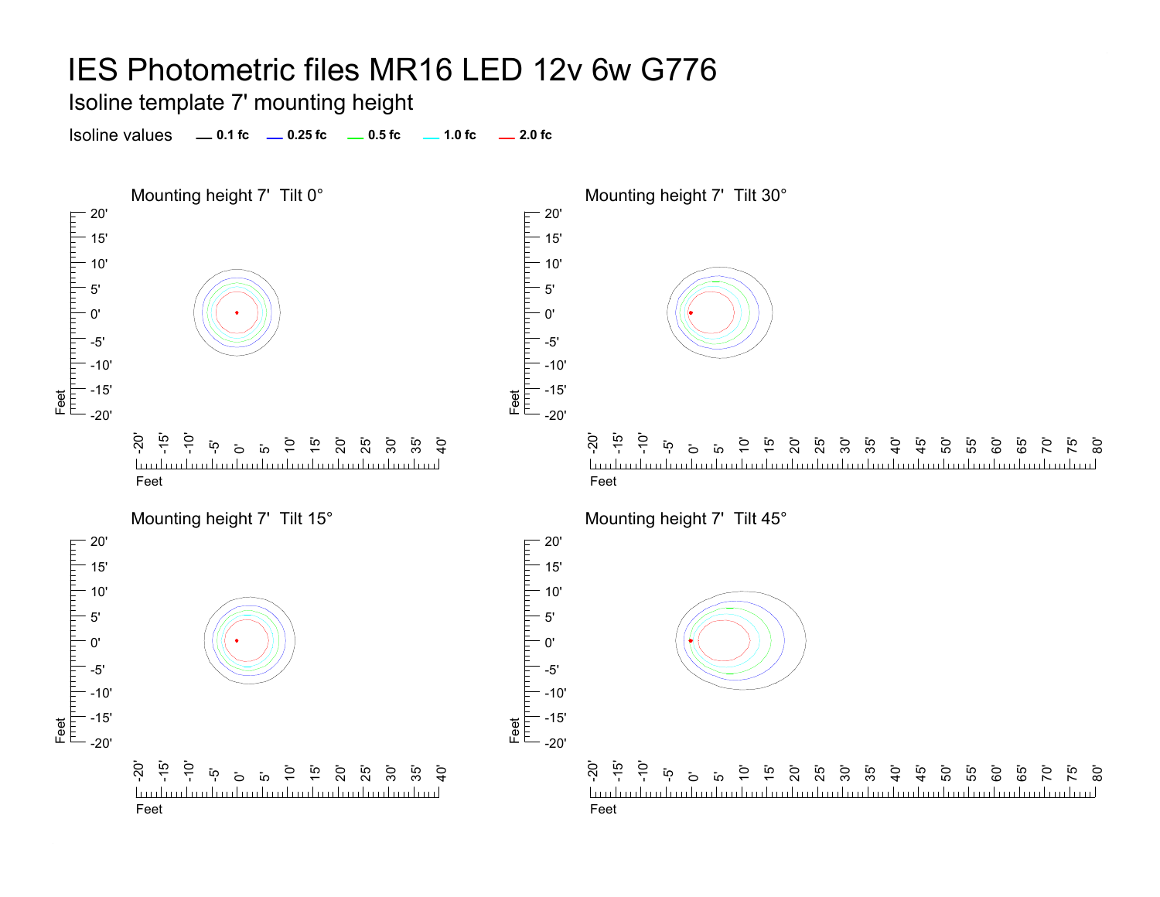Isoline template 7' mounting height

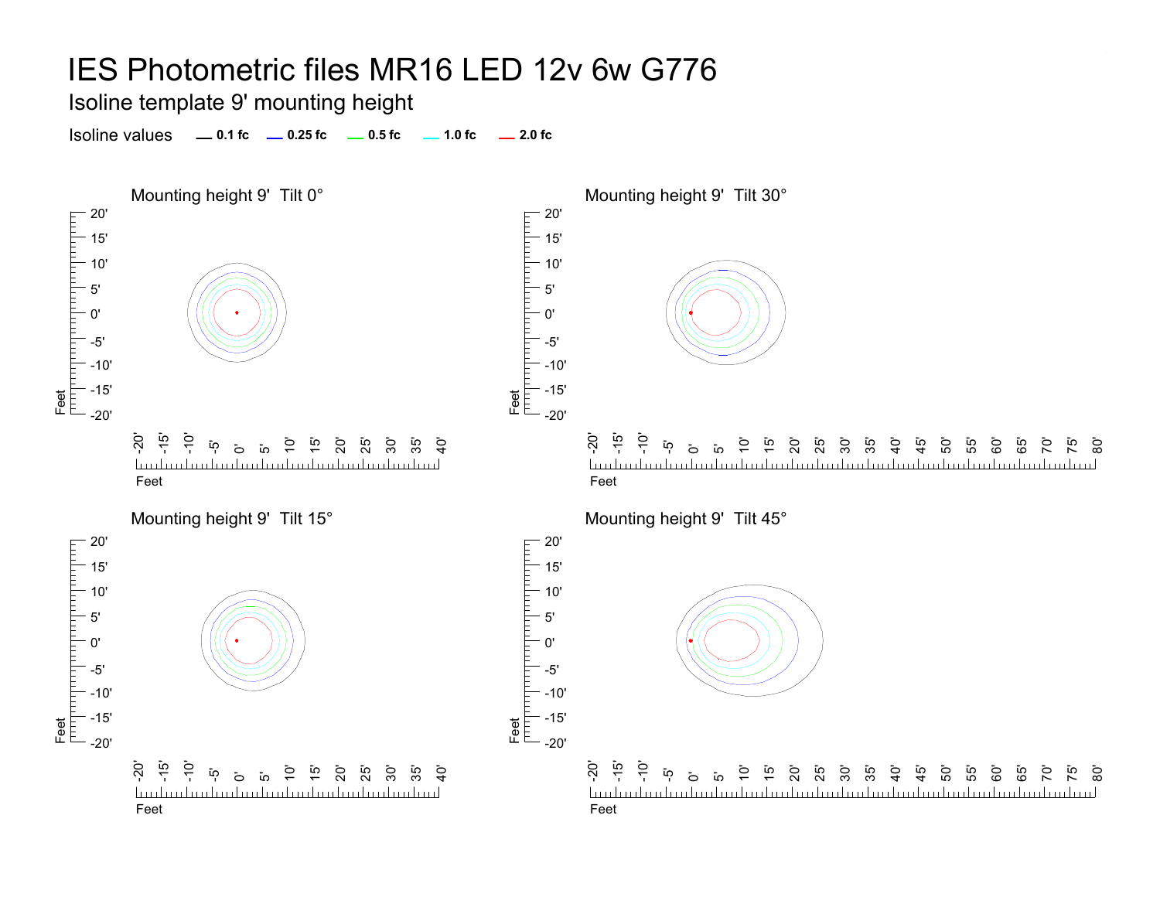Isoline template 9' mounting height

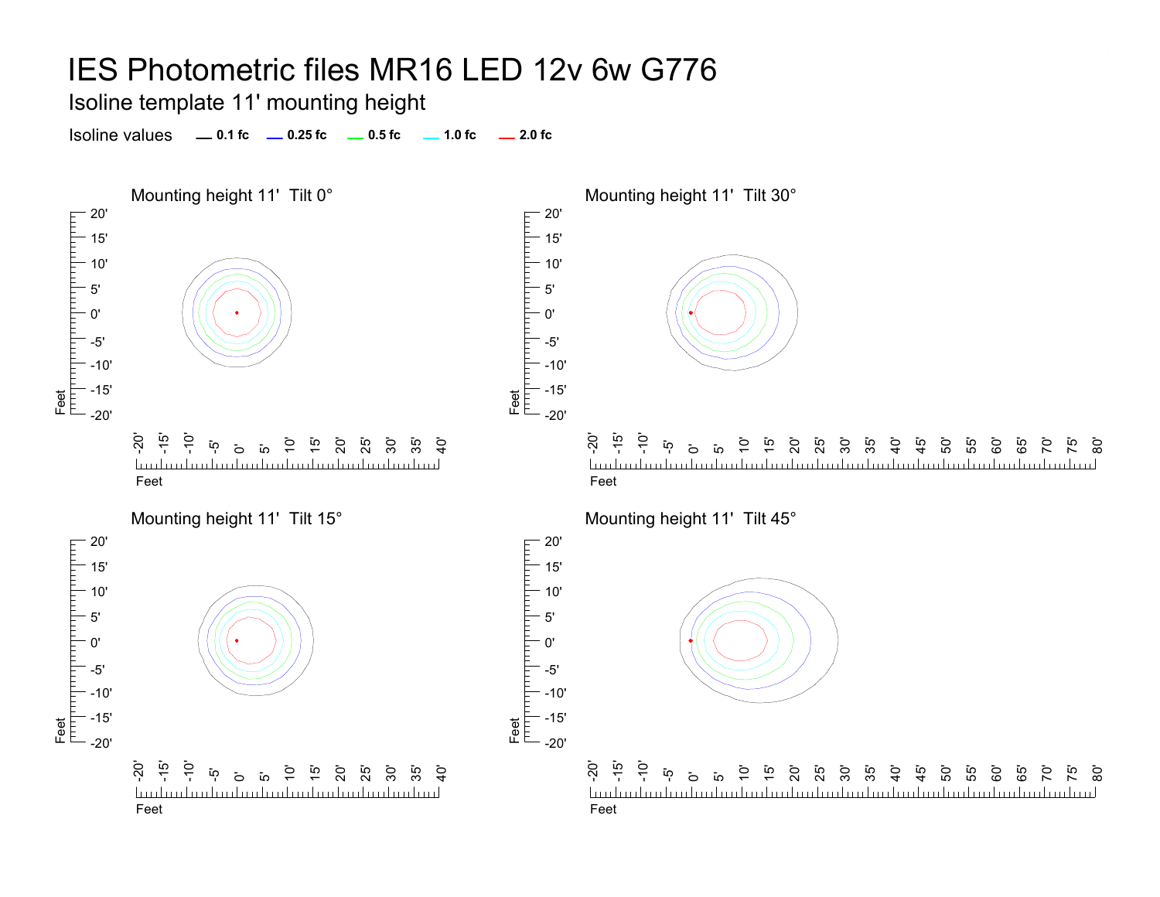Isoline template 11' mounting height

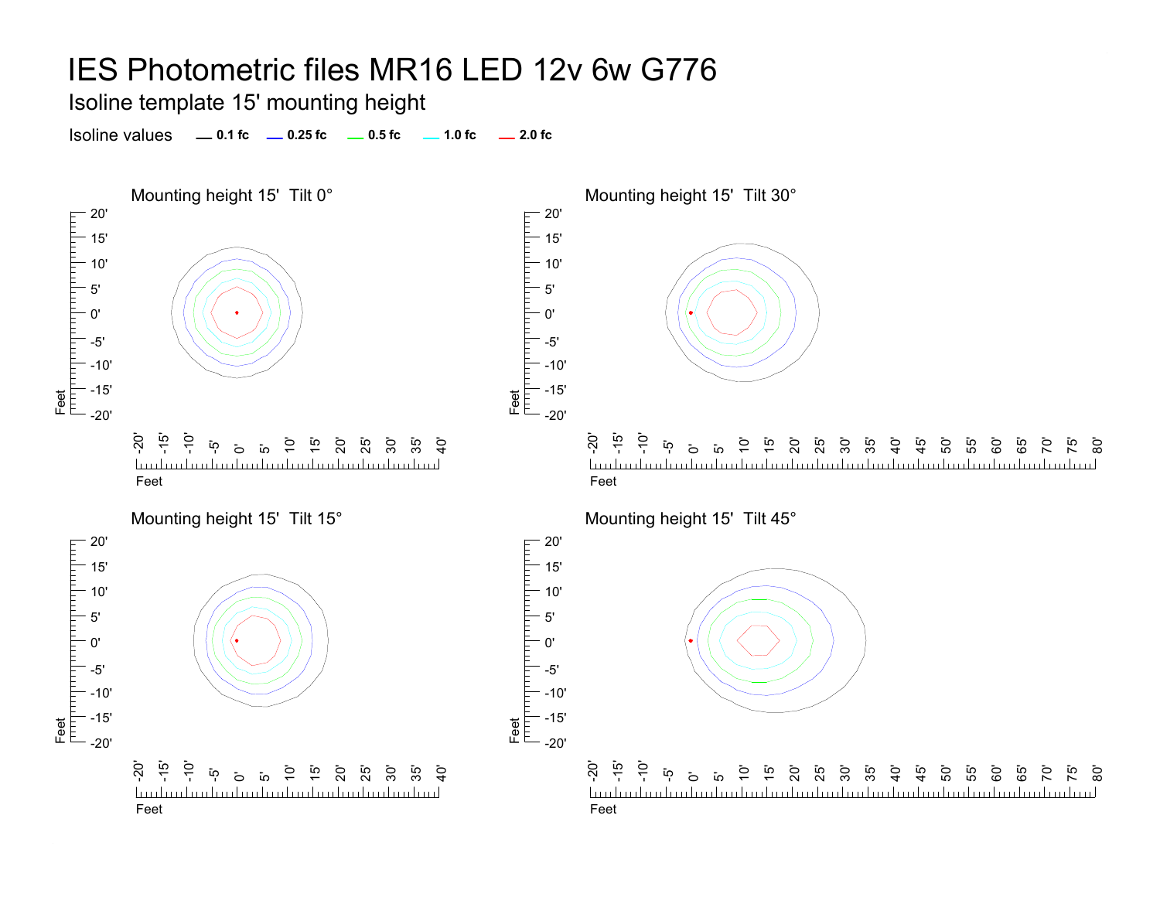Isoline template 15' mounting height

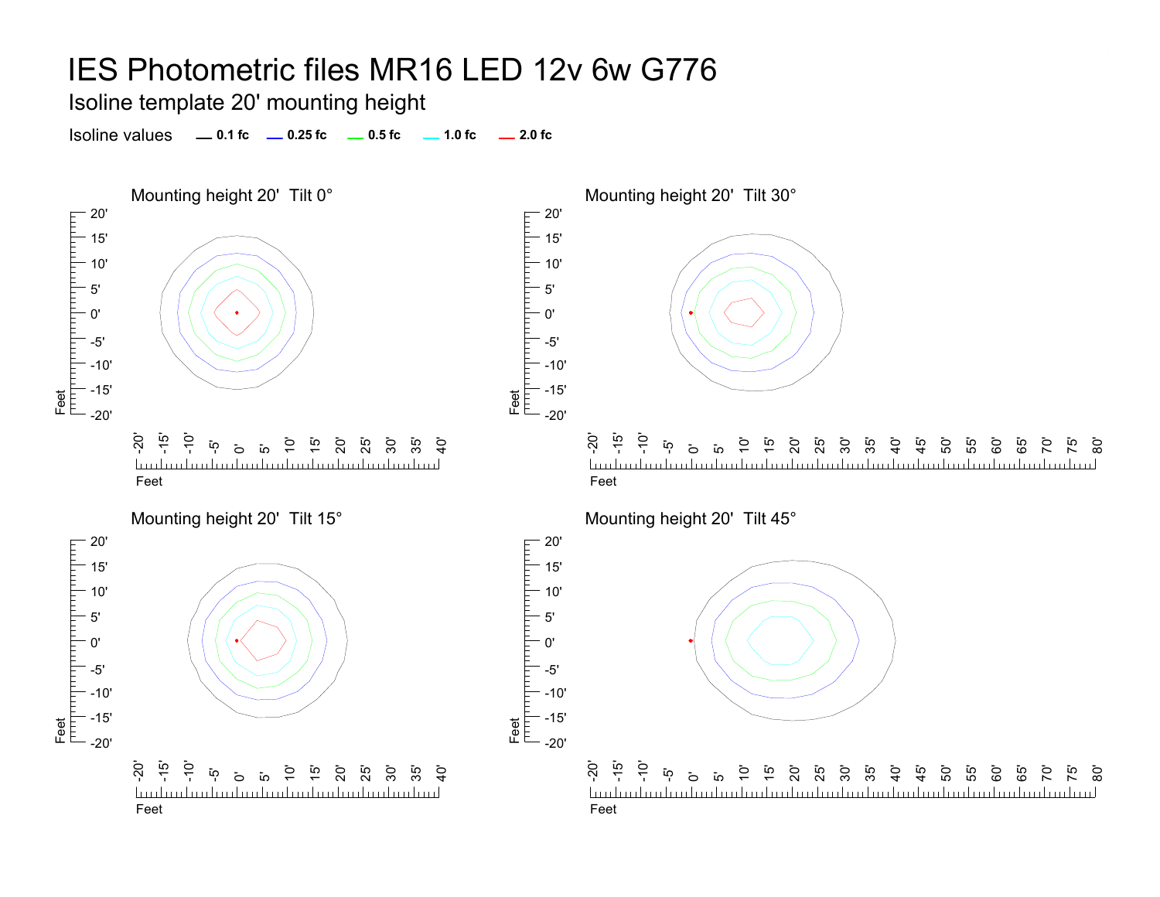Isoline template 20' mounting height



Mounting height 20' Tilt 30°



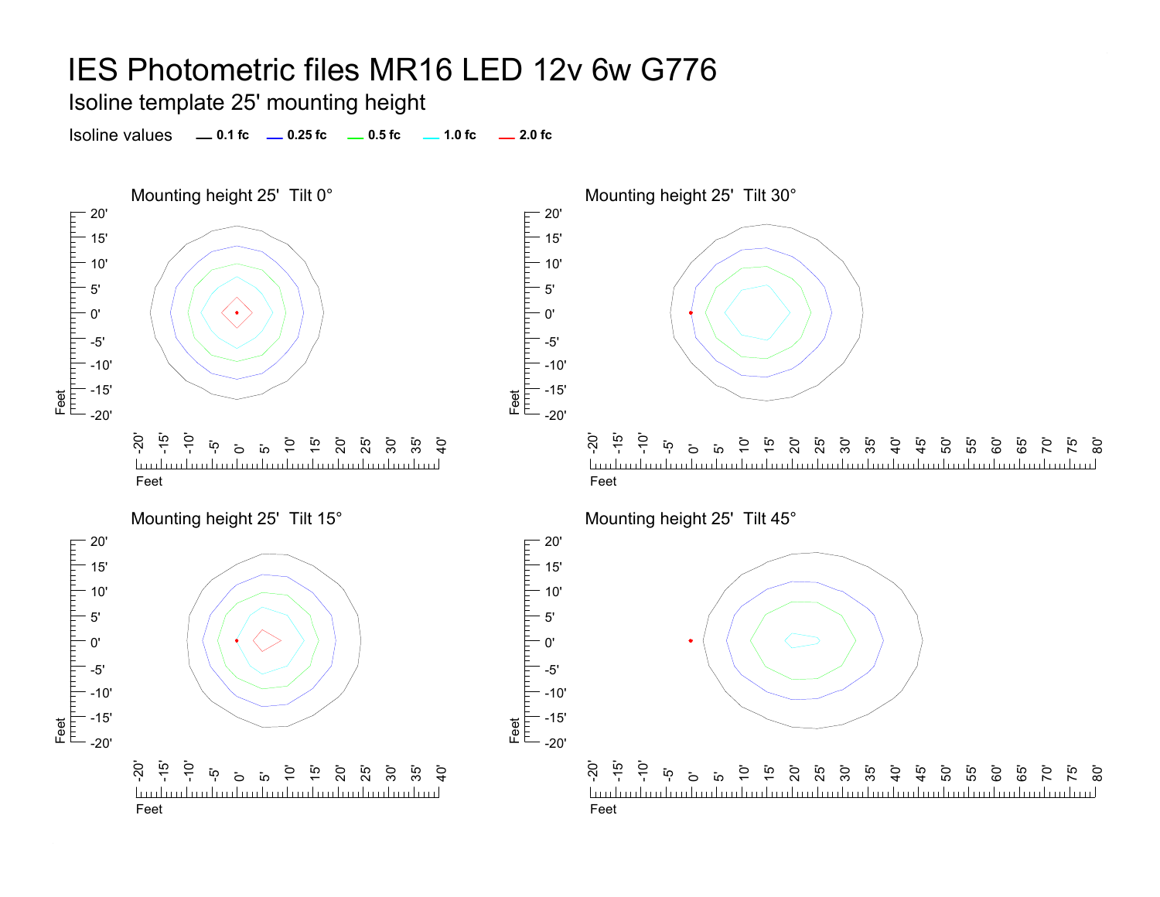Feet<br>T<sup>rin</sup> I<sup>nti</sup>l

Feet<br>|<sup>|||||</sup>|<sup>|||||||||</sup>|

5'0'

прицпп

Isoline template 25' mounting height



Mounting height 25' Tilt 30°